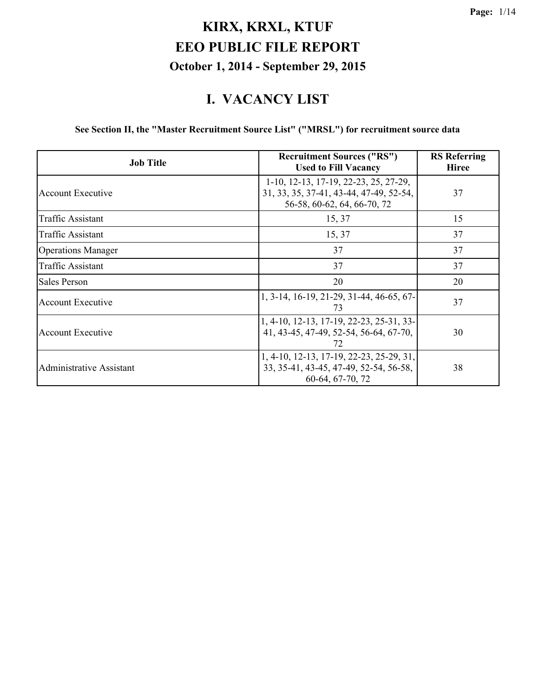#### **I. VACANCY LIST**

**See Section II, the "Master Recruitment Source List" ("MRSL") for recruitment source data**

| <b>Job Title</b>          | <b>Recruitment Sources ("RS")</b><br><b>Used to Fill Vacancy</b>                                                                  | <b>RS</b> Referring<br>Hiree |
|---------------------------|-----------------------------------------------------------------------------------------------------------------------------------|------------------------------|
| <b>Account Executive</b>  | $1-10$ , $12-13$ , $17-19$ , $22-23$ , $25$ , $27-29$ ,<br>31, 33, 35, 37-41, 43-44, 47-49, 52-54,<br>56-58, 60-62, 64, 66-70, 72 | 37                           |
| Traffic Assistant         | 15, 37                                                                                                                            | 15                           |
| Traffic Assistant         | 15, 37                                                                                                                            | 37                           |
| <b>Operations Manager</b> | 37                                                                                                                                | 37                           |
| <b>Traffic Assistant</b>  | 37                                                                                                                                | 37                           |
| Sales Person              | 20                                                                                                                                | 20                           |
| <b>Account Executive</b>  | 1, 3-14, 16-19, 21-29, 31-44, 46-65, 67-<br>73                                                                                    | 37                           |
| <b>Account Executive</b>  | 1, 4-10, 12-13, 17-19, 22-23, 25-31, 33-<br>41, 43-45, 47-49, 52-54, 56-64, 67-70,<br>72                                          | 30                           |
| Administrative Assistant  | 1, 4-10, 12-13, 17-19, 22-23, 25-29, 31,<br>33, 35-41, 43-45, 47-49, 52-54, 56-58,<br>60-64, 67-70, 72                            | 38                           |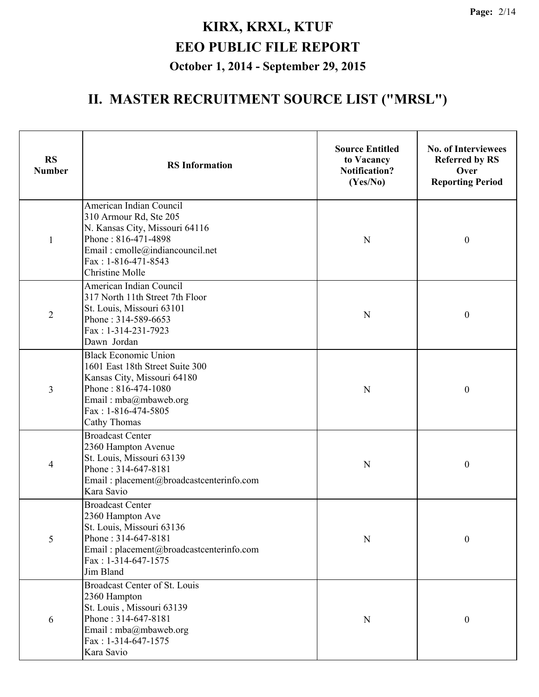| <b>RS</b><br><b>Number</b> | <b>RS</b> Information                                                                                                                                                                          | <b>Source Entitled</b><br>to Vacancy<br><b>Notification?</b><br>(Yes/No) | <b>No. of Interviewees</b><br><b>Referred by RS</b><br>Over<br><b>Reporting Period</b> |
|----------------------------|------------------------------------------------------------------------------------------------------------------------------------------------------------------------------------------------|--------------------------------------------------------------------------|----------------------------------------------------------------------------------------|
| $\mathbf{1}$               | American Indian Council<br>310 Armour Rd, Ste 205<br>N. Kansas City, Missouri 64116<br>Phone: 816-471-4898<br>Email: cmolle@indiancouncil.net<br>Fax: 1-816-471-8543<br><b>Christine Molle</b> | N                                                                        | $\boldsymbol{0}$                                                                       |
| $\overline{2}$             | American Indian Council<br>317 North 11th Street 7th Floor<br>St. Louis, Missouri 63101<br>Phone: 314-589-6653<br>Fax: 1-314-231-7923<br>Dawn Jordan                                           | N                                                                        | $\boldsymbol{0}$                                                                       |
| 3                          | <b>Black Economic Union</b><br>1601 East 18th Street Suite 300<br>Kansas City, Missouri 64180<br>Phone: 816-474-1080<br>Email: mba@mbaweb.org<br>Fax: 1-816-474-5805<br>Cathy Thomas           | N                                                                        | $\boldsymbol{0}$                                                                       |
| 4                          | <b>Broadcast Center</b><br>2360 Hampton Avenue<br>St. Louis, Missouri 63139<br>Phone: 314-647-8181<br>Email: placement@broadcastcenterinfo.com<br>Kara Savio                                   | N                                                                        | $\boldsymbol{0}$                                                                       |
| 5                          | <b>Broadcast Center</b><br>2360 Hampton Ave<br>St. Louis, Missouri 63136<br>Phone: 314-647-8181<br>Email: placement@broadcastcenterinfo.com<br>Fax: $1-314-647-1575$<br>Jim Bland              | N                                                                        | $\boldsymbol{0}$                                                                       |
| 6                          | Broadcast Center of St. Louis<br>2360 Hampton<br>St. Louis, Missouri 63139<br>Phone: 314-647-8181<br>Email: mba@mbaweb.org<br>Fax: 1-314-647-1575<br>Kara Savio                                | N                                                                        | $\mathbf{0}$                                                                           |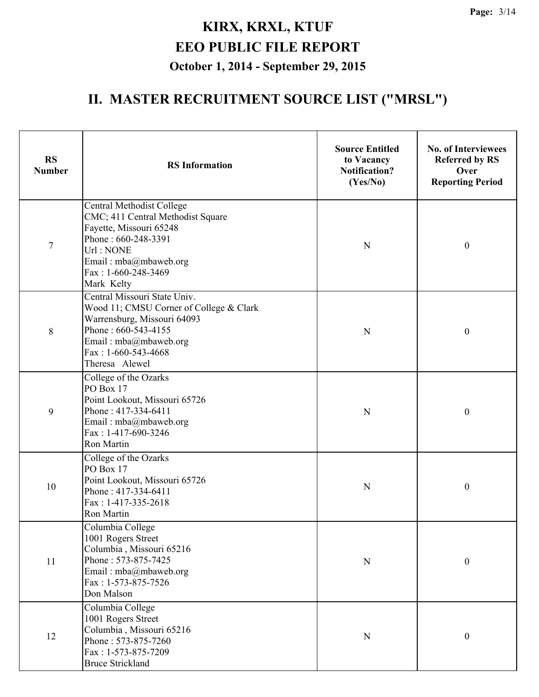| <b>RS</b><br><b>Number</b> | <b>RS</b> Information                                                                                                                                                                             | <b>Source Entitled</b><br>to Vacancy<br><b>Notification?</b><br>(Yes/No) | <b>No. of Interviewees</b><br><b>Referred by RS</b><br>Over<br><b>Reporting Period</b> |
|----------------------------|---------------------------------------------------------------------------------------------------------------------------------------------------------------------------------------------------|--------------------------------------------------------------------------|----------------------------------------------------------------------------------------|
| $\tau$                     | Central Methodist College<br>CMC; 411 Central Methodist Square<br>Fayette, Missouri 65248<br>Phone: 660-248-3391<br>Url: NONE<br>Email: mba@mbaweb.org<br>Fax: 1-660-248-3469<br>Mark Kelty       | N                                                                        | $\boldsymbol{0}$                                                                       |
| 8                          | Central Missouri State Univ.<br>Wood 11; CMSU Corner of College & Clark<br>Warrensburg, Missouri 64093<br>Phone: 660-543-4155<br>Email: mba@mbaweb.org<br>Fax: $1-660-543-4668$<br>Theresa Alewel | $\mathbf N$                                                              | $\boldsymbol{0}$                                                                       |
| 9                          | College of the Ozarks<br>PO Box 17<br>Point Lookout, Missouri 65726<br>Phone: 417-334-6411<br>Email: mba@mbaweb.org<br>Fax: 1-417-690-3246<br>Ron Martin                                          | N                                                                        | $\boldsymbol{0}$                                                                       |
| 10                         | College of the Ozarks<br>PO Box 17<br>Point Lookout, Missouri 65726<br>Phone: 417-334-6411<br>Fax: 1-417-335-2618<br>Ron Martin                                                                   | N                                                                        | $\boldsymbol{0}$                                                                       |
| 11                         | Columbia College<br>1001 Rogers Street<br>Columbia, Missouri 65216<br>Phone: 573-875-7425<br>Email: mba@mbaweb.org<br>Fax: 1-573-875-7526<br>Don Malson                                           | ${\bf N}$                                                                | $\boldsymbol{0}$                                                                       |
| 12                         | Columbia College<br>1001 Rogers Street<br>Columbia, Missouri 65216<br>Phone: 573-875-7260<br>Fax: 1-573-875-7209<br><b>Bruce Strickland</b>                                                       | ${\bf N}$                                                                | $\boldsymbol{0}$                                                                       |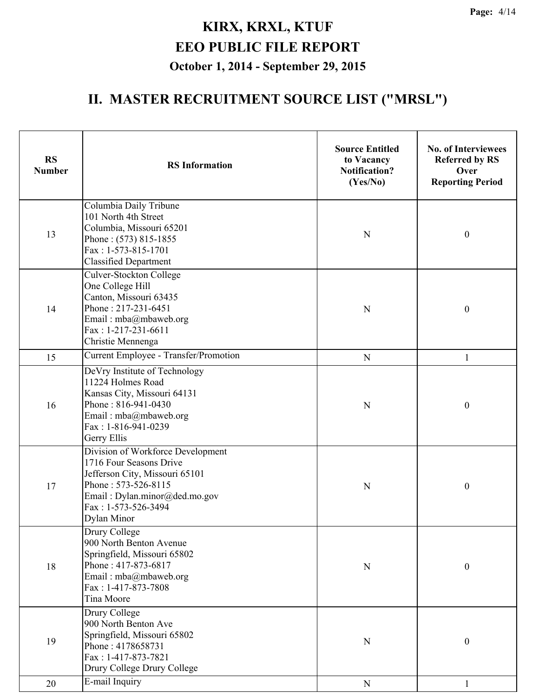| <b>RS</b><br><b>Number</b> | <b>RS</b> Information                                                                                                                                                                        | <b>Source Entitled</b><br>to Vacancy<br><b>Notification?</b><br>(Yes/No) | <b>No. of Interviewees</b><br><b>Referred by RS</b><br>Over<br><b>Reporting Period</b> |
|----------------------------|----------------------------------------------------------------------------------------------------------------------------------------------------------------------------------------------|--------------------------------------------------------------------------|----------------------------------------------------------------------------------------|
| 13                         | Columbia Daily Tribune<br>101 North 4th Street<br>Columbia, Missouri 65201<br>Phone: (573) 815-1855<br>Fax: 1-573-815-1701<br><b>Classified Department</b>                                   | $\mathbf N$                                                              | $\boldsymbol{0}$                                                                       |
| 14                         | Culver-Stockton College<br>One College Hill<br>Canton, Missouri 63435<br>Phone: 217-231-6451<br>Email: mba@mbaweb.org<br>Fax: 1-217-231-6611<br>Christie Mennenga                            | N                                                                        | $\boldsymbol{0}$                                                                       |
| 15                         | Current Employee - Transfer/Promotion                                                                                                                                                        | ${\bf N}$                                                                | 1                                                                                      |
| 16                         | DeVry Institute of Technology<br>11224 Holmes Road<br>Kansas City, Missouri 64131<br>Phone: 816-941-0430<br>Email: mba@mbaweb.org<br>Fax: 1-816-941-0239<br>Gerry Ellis                      | $\mathbf N$                                                              | $\boldsymbol{0}$                                                                       |
| 17                         | Division of Workforce Development<br>1716 Four Seasons Drive<br>Jefferson City, Missouri 65101<br>Phone: 573-526-8115<br>Email: Dylan.minor@ded.mo.gov<br>Fax: 1-573-526-3494<br>Dylan Minor | N                                                                        | $\boldsymbol{0}$                                                                       |
| 18                         | Drury College<br>900 North Benton Avenue<br>Springfield, Missouri 65802<br>Phone: 417-873-6817<br>Email: mba@mbaweb.org<br>Fax: 1-417-873-7808<br>Tina Moore                                 | ${\bf N}$                                                                | $\boldsymbol{0}$                                                                       |
| 19                         | Drury College<br>900 North Benton Ave<br>Springfield, Missouri 65802<br>Phone: 4178658731<br>Fax: 1-417-873-7821<br>Drury College Drury College                                              | N                                                                        | $\boldsymbol{0}$                                                                       |
| 20                         | E-mail Inquiry                                                                                                                                                                               | ${\bf N}$                                                                | $\mathbf{1}$                                                                           |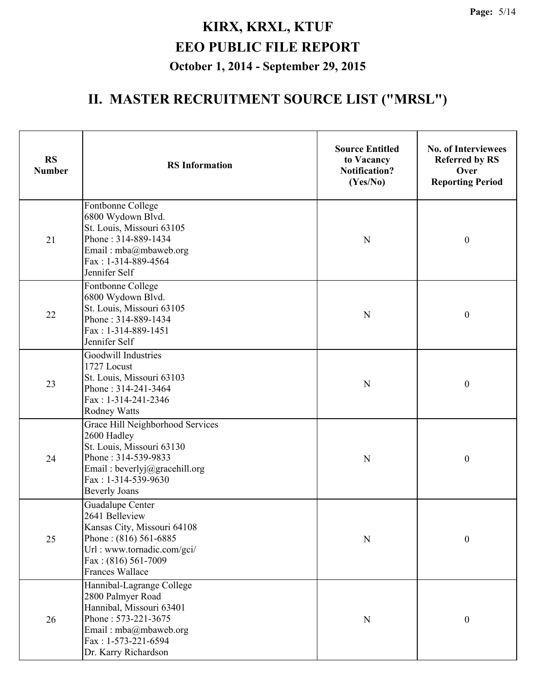| <b>RS</b><br><b>Number</b> | <b>RS</b> Information                                                                                                                                                               | <b>Source Entitled</b><br>to Vacancy<br><b>Notification?</b><br>(Yes/No) | <b>No. of Interviewees</b><br><b>Referred by RS</b><br>Over<br><b>Reporting Period</b> |
|----------------------------|-------------------------------------------------------------------------------------------------------------------------------------------------------------------------------------|--------------------------------------------------------------------------|----------------------------------------------------------------------------------------|
| 21                         | Fontbonne College<br>6800 Wydown Blvd.<br>St. Louis, Missouri 63105<br>Phone: 314-889-1434<br>Email: mba@mbaweb.org<br>Fax: 1-314-889-4564<br>Jennifer Self                         | N                                                                        | $\boldsymbol{0}$                                                                       |
| 22                         | Fontbonne College<br>6800 Wydown Blvd.<br>St. Louis, Missouri 63105<br>Phone: 314-889-1434<br>Fax: 1-314-889-1451<br>Jennifer Self                                                  | N                                                                        | $\boldsymbol{0}$                                                                       |
| 23                         | Goodwill Industries<br>1727 Locust<br>St. Louis, Missouri 63103<br>Phone: 314-241-3464<br>Fax: 1-314-241-2346<br><b>Rodney Watts</b>                                                | $\mathbf N$                                                              | $\boldsymbol{0}$                                                                       |
| 24                         | Grace Hill Neighborhood Services<br>2600 Hadley<br>St. Louis, Missouri 63130<br>Phone: 314-539-9833<br>Email: beverlyj@gracehill.org<br>Fax: 1-314-539-9630<br><b>Beverly Joans</b> | $\mathbf N$                                                              | $\boldsymbol{0}$                                                                       |
| 25                         | Guadalupe Center<br>2641 Belleview<br>Kansas City, Missouri 64108<br>Phone: $(816)$ 561-6885<br>Url: www.tornadic.com/gci/<br>Fax: (816) 561-7009<br><b>Frances Wallace</b>         | N                                                                        | $\boldsymbol{0}$                                                                       |
| 26                         | Hannibal-Lagrange College<br>2800 Palmyer Road<br>Hannibal, Missouri 63401<br>Phone: 573-221-3675<br>Email: mba@mbaweb.org<br>Fax: 1-573-221-6594<br>Dr. Karry Richardson           | N                                                                        | $\boldsymbol{0}$                                                                       |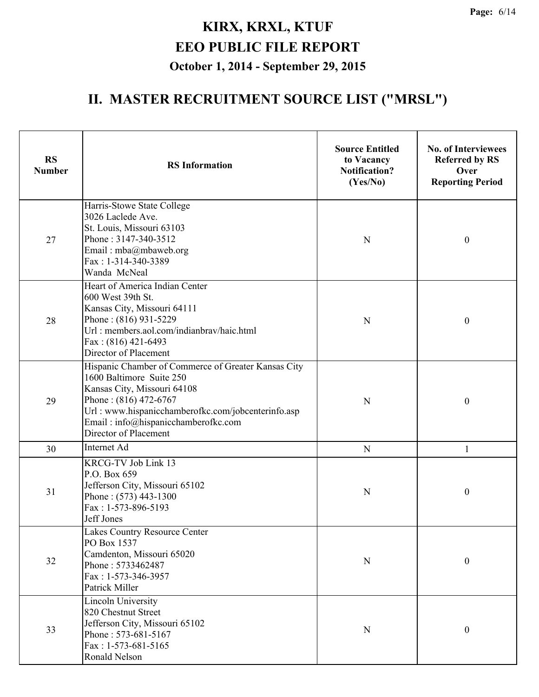| <b>RS</b><br><b>Number</b> | <b>RS</b> Information                                                                                                                                                                                                                                         | <b>Source Entitled</b><br>to Vacancy<br><b>Notification?</b><br>(Yes/No) | <b>No. of Interviewees</b><br><b>Referred by RS</b><br>Over<br><b>Reporting Period</b> |
|----------------------------|---------------------------------------------------------------------------------------------------------------------------------------------------------------------------------------------------------------------------------------------------------------|--------------------------------------------------------------------------|----------------------------------------------------------------------------------------|
| 27                         | Harris-Stowe State College<br>3026 Laclede Ave.<br>St. Louis, Missouri 63103<br>Phone: 3147-340-3512<br>Email: mba@mbaweb.org<br>Fax: 1-314-340-3389<br>Wanda McNeal                                                                                          | N                                                                        | $\boldsymbol{0}$                                                                       |
| 28                         | Heart of America Indian Center<br>600 West 39th St.<br>Kansas City, Missouri 64111<br>Phone: (816) 931-5229<br>Url: members.aol.com/indianbrav/haic.html<br>Fax: (816) 421-6493<br>Director of Placement                                                      | N                                                                        | $\boldsymbol{0}$                                                                       |
| 29                         | Hispanic Chamber of Commerce of Greater Kansas City<br>1600 Baltimore Suite 250<br>Kansas City, Missouri 64108<br>Phone: (816) 472-6767<br>Url: www.hispanicchamberofkc.com/jobcenterinfo.asp<br>Email: info@hispanicchamberofkc.com<br>Director of Placement | N                                                                        | $\boldsymbol{0}$                                                                       |
| 30                         | Internet Ad                                                                                                                                                                                                                                                   | ${\bf N}$                                                                | 1                                                                                      |
| 31                         | KRCG-TV Job Link 13<br>P.O. Box 659<br>Jefferson City, Missouri 65102<br>Phone: (573) 443-1300<br>Fax: 1-573-896-5193<br>Jeff Jones                                                                                                                           | N                                                                        | $\boldsymbol{0}$                                                                       |
| 32                         | Lakes Country Resource Center<br>PO Box 1537<br>Camdenton, Missouri 65020<br>Phone: 5733462487<br>Fax: 1-573-346-3957<br>Patrick Miller                                                                                                                       | ${\bf N}$                                                                | $\boldsymbol{0}$                                                                       |
| 33                         | <b>Lincoln University</b><br>820 Chestnut Street<br>Jefferson City, Missouri 65102<br>Phone: 573-681-5167<br>$Fax: 1-573-681-5165$<br>Ronald Nelson                                                                                                           | ${\bf N}$                                                                | $\boldsymbol{0}$                                                                       |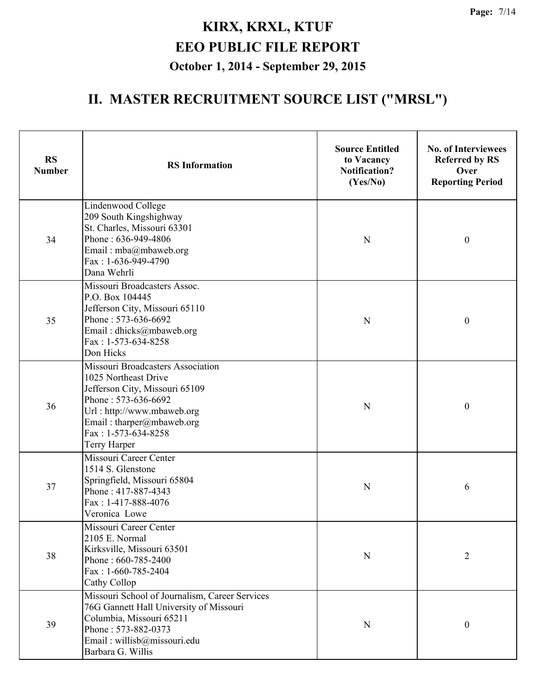| <b>RS</b><br><b>Number</b> | <b>RS</b> Information                                                                                                                                                                                                | <b>Source Entitled</b><br>to Vacancy<br><b>Notification?</b><br>(Yes/No) | <b>No. of Interviewees</b><br><b>Referred by RS</b><br>Over<br><b>Reporting Period</b> |
|----------------------------|----------------------------------------------------------------------------------------------------------------------------------------------------------------------------------------------------------------------|--------------------------------------------------------------------------|----------------------------------------------------------------------------------------|
| 34                         | Lindenwood College<br>209 South Kingshighway<br>St. Charles, Missouri 63301<br>Phone: 636-949-4806<br>Email: mba@mbaweb.org<br>Fax: 1-636-949-4790<br>Dana Wehrli                                                    | $\mathbf N$                                                              | $\boldsymbol{0}$                                                                       |
| 35                         | Missouri Broadcasters Assoc.<br>P.O. Box 104445<br>Jefferson City, Missouri 65110<br>Phone: 573-636-6692<br>Email: dhicks@mbaweb.org<br>Fax: 1-573-634-8258<br>Don Hicks                                             | N                                                                        | $\boldsymbol{0}$                                                                       |
| 36                         | Missouri Broadcasters Association<br>1025 Northeast Drive<br>Jefferson City, Missouri 65109<br>Phone: 573-636-6692<br>Url: http://www.mbaweb.org<br>Email: tharper@mbaweb.org<br>Fax: 1-573-634-8258<br>Terry Harper | $\mathbf N$                                                              | $\boldsymbol{0}$                                                                       |
| 37                         | Missouri Career Center<br>1514 S. Glenstone<br>Springfield, Missouri 65804<br>Phone: 417-887-4343<br>Fax: 1-417-888-4076<br>Veronica Lowe                                                                            | N                                                                        | 6                                                                                      |
| 38                         | Missouri Career Center<br>2105 E. Normal<br>Kirksville, Missouri 63501<br>Phone: 660-785-2400<br>Fax: $1-660-785-2404$<br>Cathy Collop                                                                               | ${\bf N}$                                                                | $\overline{2}$                                                                         |
| 39                         | Missouri School of Journalism, Career Services<br>76G Gannett Hall University of Missouri<br>Columbia, Missouri 65211<br>Phone: 573-882-0373<br>Email: willisb@missouri.edu<br>Barbara G. Willis                     | N                                                                        | $\boldsymbol{0}$                                                                       |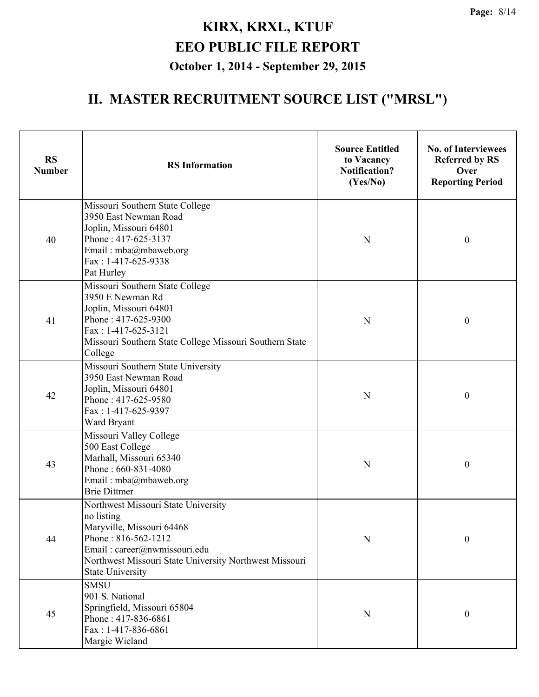| <b>RS</b><br><b>Number</b> | <b>RS</b> Information                                                                                                                                                                                                      | <b>Source Entitled</b><br>to Vacancy<br><b>Notification?</b><br>(Yes/No) | <b>No. of Interviewees</b><br><b>Referred by RS</b><br>Over<br><b>Reporting Period</b> |
|----------------------------|----------------------------------------------------------------------------------------------------------------------------------------------------------------------------------------------------------------------------|--------------------------------------------------------------------------|----------------------------------------------------------------------------------------|
| 40                         | Missouri Southern State College<br>3950 East Newman Road<br>Joplin, Missouri 64801<br>Phone: 417-625-3137<br>Email: mba@mbaweb.org<br>Fax: 1-417-625-9338<br>Pat Hurley                                                    | N                                                                        | $\boldsymbol{0}$                                                                       |
| 41                         | Missouri Southern State College<br>3950 E Newman Rd<br>Joplin, Missouri 64801<br>Phone: 417-625-9300<br>Fax: 1-417-625-3121<br>Missouri Southern State College Missouri Southern State<br>College                          | N                                                                        | $\boldsymbol{0}$                                                                       |
| 42                         | Missouri Southern State University<br>3950 East Newman Road<br>Joplin, Missouri 64801<br>Phone: 417-625-9580<br>Fax: 1-417-625-9397<br>Ward Bryant                                                                         | $\mathbf N$                                                              | $\boldsymbol{0}$                                                                       |
| 43                         | Missouri Valley College<br>500 East College<br>Marhall, Missouri 65340<br>Phone: 660-831-4080<br>Email: mba@mbaweb.org<br><b>Brie Dittmer</b>                                                                              | N                                                                        | $\boldsymbol{0}$                                                                       |
| 44                         | Northwest Missouri State University<br>no listing<br>Maryville, Missouri 64468<br>Phone: 816-562-1212<br>Email: career@nwmissouri.edu<br>Northwest Missouri State University Northwest Missouri<br><b>State University</b> | $\mathbf N$                                                              | $\boldsymbol{0}$                                                                       |
| 45                         | <b>SMSU</b><br>901 S. National<br>Springfield, Missouri 65804<br>Phone: 417-836-6861<br>Fax: 1-417-836-6861<br>Margie Wieland                                                                                              | ${\bf N}$                                                                | $\boldsymbol{0}$                                                                       |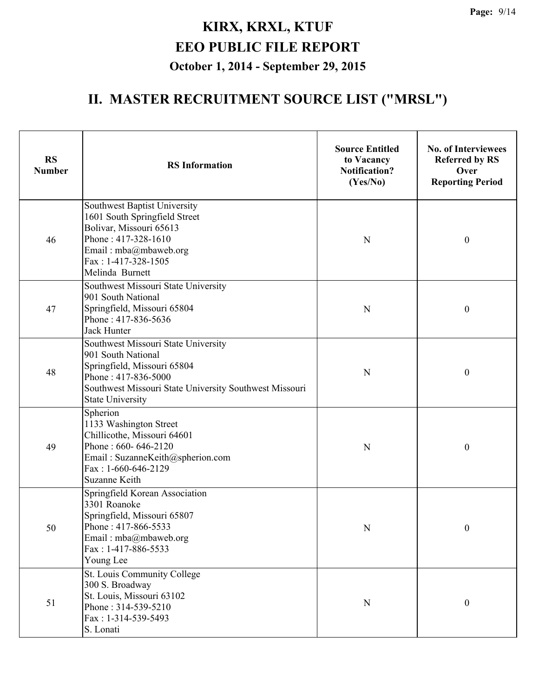| <b>RS</b><br><b>Number</b> | <b>RS</b> Information                                                                                                                                                                                | <b>Source Entitled</b><br>to Vacancy<br><b>Notification?</b><br>(Yes/No) | <b>No. of Interviewees</b><br><b>Referred by RS</b><br>Over<br><b>Reporting Period</b> |
|----------------------------|------------------------------------------------------------------------------------------------------------------------------------------------------------------------------------------------------|--------------------------------------------------------------------------|----------------------------------------------------------------------------------------|
| 46                         | Southwest Baptist University<br>1601 South Springfield Street<br>Bolivar, Missouri 65613<br>Phone: 417-328-1610<br>Email: mba@mbaweb.org<br>Fax: 1-417-328-1505<br>Melinda Burnett                   | N                                                                        | $\boldsymbol{0}$                                                                       |
| 47                         | Southwest Missouri State University<br>901 South National<br>Springfield, Missouri 65804<br>Phone: 417-836-5636<br>Jack Hunter                                                                       | N                                                                        | $\boldsymbol{0}$                                                                       |
| 48                         | Southwest Missouri State University<br>901 South National<br>Springfield, Missouri 65804<br>Phone: 417-836-5000<br>Southwest Missouri State University Southwest Missouri<br><b>State University</b> | N                                                                        | $\boldsymbol{0}$                                                                       |
| 49                         | Spherion<br>1133 Washington Street<br>Chillicothe, Missouri 64601<br>Phone: 660-646-2120<br>Email: SuzanneKeith@spherion.com<br>Fax: 1-660-646-2129<br>Suzanne Keith                                 | N                                                                        | $\boldsymbol{0}$                                                                       |
| 50                         | Springfield Korean Association<br>3301 Roanoke<br>Springfield, Missouri 65807<br>Phone: 417-866-5533<br>Email: mba@mbaweb.org<br>Fax: 1-417-886-5533<br>Young Lee                                    | N                                                                        | $\boldsymbol{0}$                                                                       |
| 51                         | St. Louis Community College<br>300 S. Broadway<br>St. Louis, Missouri 63102<br>Phone: 314-539-5210<br>Fax: 1-314-539-5493<br>S. Lonati                                                               | ${\bf N}$                                                                | $\boldsymbol{0}$                                                                       |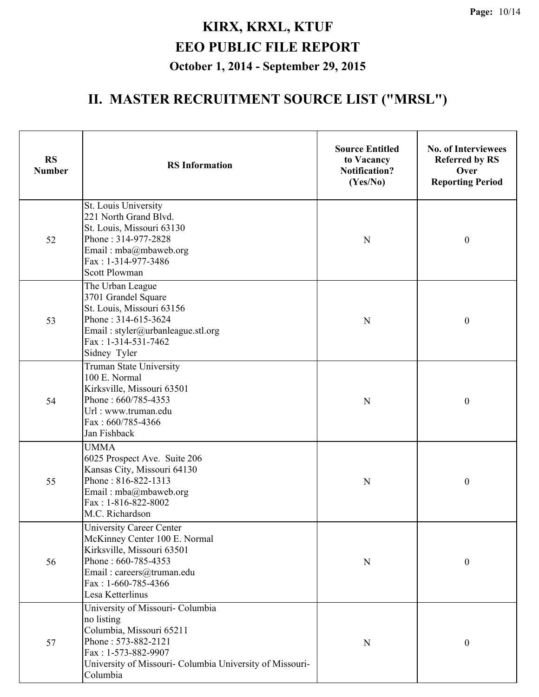| <b>RS</b><br><b>Number</b> | <b>RS</b> Information                                                                                                                                                                            | <b>Source Entitled</b><br>to Vacancy<br><b>Notification?</b><br>(Yes/No) | <b>No. of Interviewees</b><br><b>Referred by RS</b><br>Over<br><b>Reporting Period</b> |
|----------------------------|--------------------------------------------------------------------------------------------------------------------------------------------------------------------------------------------------|--------------------------------------------------------------------------|----------------------------------------------------------------------------------------|
| 52                         | St. Louis University<br>221 North Grand Blvd.<br>St. Louis, Missouri 63130<br>Phone: 314-977-2828<br>Email: mba@mbaweb.org<br>Fax: 1-314-977-3486<br><b>Scott Plowman</b>                        | N                                                                        | $\boldsymbol{0}$                                                                       |
| 53                         | The Urban League<br>3701 Grandel Square<br>St. Louis, Missouri 63156<br>Phone: 314-615-3624<br>Email: styler@urbanleague.stl.org<br>Fax: 1-314-531-7462<br>Sidney Tyler                          | $\mathbf N$                                                              | $\boldsymbol{0}$                                                                       |
| 54                         | Truman State University<br>100 E. Normal<br>Kirksville, Missouri 63501<br>Phone: 660/785-4353<br>Url: www.truman.edu<br>Fax: 660/785-4366<br>Jan Fishback                                        | N                                                                        | $\boldsymbol{0}$                                                                       |
| 55                         | <b>UMMA</b><br>6025 Prospect Ave. Suite 206<br>Kansas City, Missouri 64130<br>Phone: 816-822-1313<br>Email: mba@mbaweb.org<br>Fax: 1-816-822-8002<br>M.C. Richardson                             | $\mathbf N$                                                              | $\boldsymbol{0}$                                                                       |
| 56                         | University Career Center<br>McKinney Center 100 E. Normal<br>Kirksville, Missouri 63501<br>Phone: 660-785-4353<br>Email: careers@truman.edu<br>Fax: 1-660-785-4366<br>Lesa Ketterlinus           | N                                                                        | $\boldsymbol{0}$                                                                       |
| 57                         | University of Missouri- Columbia<br>no listing<br>Columbia, Missouri 65211<br>Phone: 573-882-2121<br>Fax: 1-573-882-9907<br>University of Missouri- Columbia University of Missouri-<br>Columbia | ${\bf N}$                                                                | $\boldsymbol{0}$                                                                       |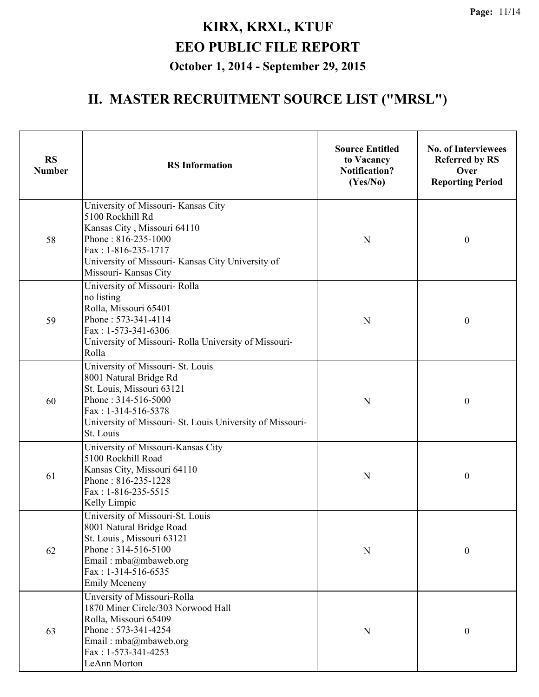| <b>RS</b><br><b>Number</b> | <b>RS</b> Information                                                                                                                                                                                                | <b>Source Entitled</b><br>to Vacancy<br><b>Notification?</b><br>(Yes/No) | <b>No. of Interviewees</b><br><b>Referred by RS</b><br>Over<br><b>Reporting Period</b> |
|----------------------------|----------------------------------------------------------------------------------------------------------------------------------------------------------------------------------------------------------------------|--------------------------------------------------------------------------|----------------------------------------------------------------------------------------|
| 58                         | University of Missouri- Kansas City<br>5100 Rockhill Rd<br>Kansas City, Missouri 64110<br>Phone: 816-235-1000<br>$Fax: 1-816-235-1717$<br>University of Missouri- Kansas City University of<br>Missouri- Kansas City | N                                                                        | $\boldsymbol{0}$                                                                       |
| 59                         | University of Missouri- Rolla<br>no listing<br>Rolla, Missouri 65401<br>Phone: 573-341-4114<br>Fax: $1-573-341-6306$<br>University of Missouri- Rolla University of Missouri-<br>Rolla                               | N                                                                        | $\boldsymbol{0}$                                                                       |
| 60                         | University of Missouri- St. Louis<br>8001 Natural Bridge Rd<br>St. Louis, Missouri 63121<br>Phone: 314-516-5000<br>Fax: 1-314-516-5378<br>University of Missouri- St. Louis University of Missouri-<br>St. Louis     | N                                                                        | $\boldsymbol{0}$                                                                       |
| 61                         | University of Missouri-Kansas City<br>5100 Rockhill Road<br>Kansas City, Missouri 64110<br>Phone: 816-235-1228<br>Fax: 1-816-235-5515<br>Kelly Limpic                                                                | N                                                                        | $\boldsymbol{0}$                                                                       |
| 62                         | University of Missouri-St. Louis<br>8001 Natural Bridge Road<br>St. Louis, Missouri 63121<br>Phone: 314-516-5100<br>Email: mba@mbaweb.org<br>$Fax: 1-314-516-6535$<br><b>Emily Mceneny</b>                           | N                                                                        | $\boldsymbol{0}$                                                                       |
| 63                         | Unversity of Missouri-Rolla<br>1870 Miner Circle/303 Norwood Hall<br>Rolla, Missouri 65409<br>Phone: 573-341-4254<br>Email: mba@mbaweb.org<br>Fax: 1-573-341-4253<br>LeAnn Morton                                    | N                                                                        | $\boldsymbol{0}$                                                                       |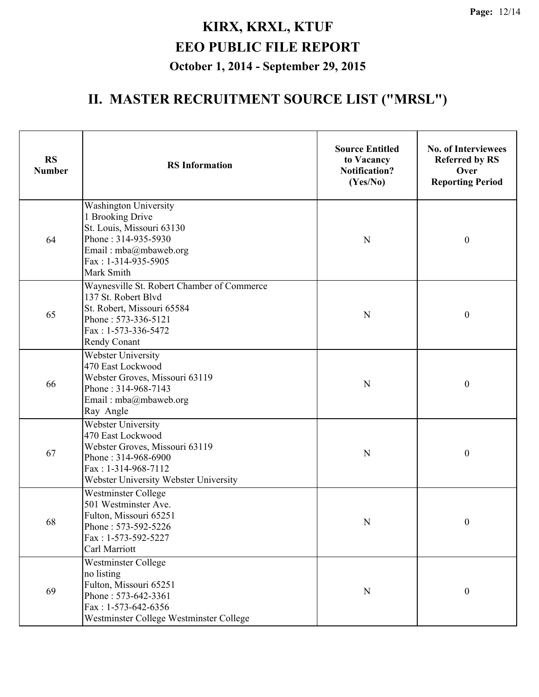| <b>RS</b><br><b>Number</b> | <b>RS</b> Information                                                                                                                                                   | <b>Source Entitled</b><br>to Vacancy<br><b>Notification?</b><br>(Yes/No) | <b>No. of Interviewees</b><br><b>Referred by RS</b><br>Over<br><b>Reporting Period</b> |
|----------------------------|-------------------------------------------------------------------------------------------------------------------------------------------------------------------------|--------------------------------------------------------------------------|----------------------------------------------------------------------------------------|
| 64                         | <b>Washington University</b><br>1 Brooking Drive<br>St. Louis, Missouri 63130<br>Phone: 314-935-5930<br>Email: mba@mbaweb.org<br>Fax: 1-314-935-5905<br>Mark Smith      | N                                                                        | $\boldsymbol{0}$                                                                       |
| 65                         | Waynesville St. Robert Chamber of Commerce<br>137 St. Robert Blvd<br>St. Robert, Missouri 65584<br>Phone: 573-336-5121<br>Fax: 1-573-336-5472<br><b>Rendy Conant</b>    | N                                                                        | $\boldsymbol{0}$                                                                       |
| 66                         | <b>Webster University</b><br>470 East Lockwood<br>Webster Groves, Missouri 63119<br>Phone: 314-968-7143<br>Email: mba@mbaweb.org<br>Ray Angle                           | N                                                                        | $\boldsymbol{0}$                                                                       |
| 67                         | <b>Webster University</b><br>470 East Lockwood<br>Webster Groves, Missouri 63119<br>Phone: 314-968-6900<br>Fax: 1-314-968-7112<br>Webster University Webster University | N                                                                        | $\boldsymbol{0}$                                                                       |
| 68                         | Westminster College<br>501 Westminster Ave.<br>Fulton, Missouri 65251<br>Phone: 573-592-5226<br>Fax: 1-573-592-5227<br>Carl Marriott                                    | N                                                                        | $\boldsymbol{0}$                                                                       |
| 69                         | Westminster College<br>no listing<br>Fulton, Missouri 65251<br>Phone: 573-642-3361<br>Fax: 1-573-642-6356<br>Westminster College Westminster College                    | $\mathbf N$                                                              | $\boldsymbol{0}$                                                                       |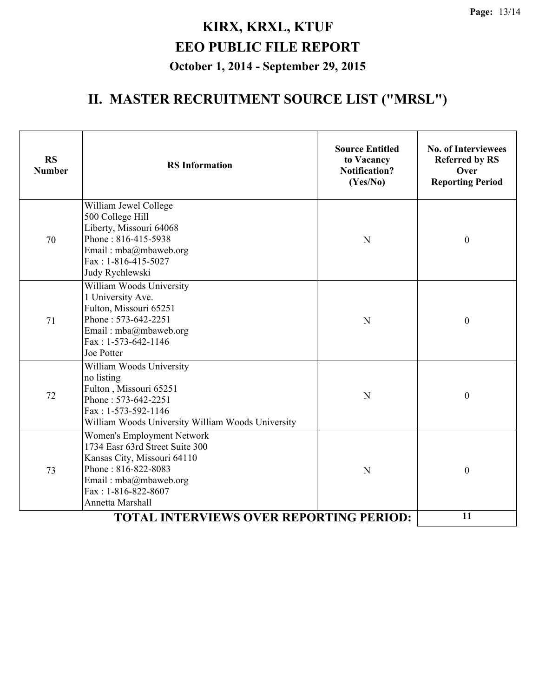| <b>RS</b><br><b>Number</b> | <b>RS</b> Information                                                                                                                                                                   | <b>Source Entitled</b><br>to Vacancy<br><b>Notification?</b><br>(Yes/No) | <b>No. of Interviewees</b><br><b>Referred by RS</b><br>Over<br><b>Reporting Period</b> |
|----------------------------|-----------------------------------------------------------------------------------------------------------------------------------------------------------------------------------------|--------------------------------------------------------------------------|----------------------------------------------------------------------------------------|
| 70                         | William Jewel College<br>500 College Hill<br>Liberty, Missouri 64068<br>Phone: 816-415-5938<br>Email: mba@mbaweb.org<br>Fax: 1-816-415-5027<br>Judy Rychlewski                          | N                                                                        | $\boldsymbol{0}$                                                                       |
| 71                         | William Woods University<br>1 University Ave.<br>Fulton, Missouri 65251<br>Phone: 573-642-2251<br>Email: mba@mbaweb.org<br>Fax: 1-573-642-1146<br>Joe Potter                            | N                                                                        | $\boldsymbol{0}$                                                                       |
| 72                         | William Woods University<br>no listing<br>Fulton, Missouri 65251<br>Phone: 573-642-2251<br>$Fax: 1-573-592-1146$<br>William Woods University William Woods University                   | N                                                                        | $\boldsymbol{0}$                                                                       |
| 73                         | Women's Employment Network<br>1734 Easr 63rd Street Suite 300<br>Kansas City, Missouri 64110<br>Phone: 816-822-8083<br>Email: mba@mbaweb.org<br>Fax: 1-816-822-8607<br>Annetta Marshall | N                                                                        | $\boldsymbol{0}$                                                                       |
|                            | 11                                                                                                                                                                                      |                                                                          |                                                                                        |